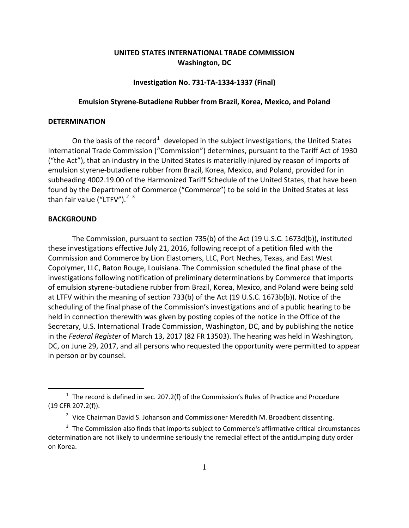# **UNITED STATES INTERNATIONAL TRADE COMMISSION Washington, DC**

### **Investigation No. 731-TA-1334-1337 (Final)**

#### **Emulsion Styrene-Butadiene Rubber from Brazil, Korea, Mexico, and Poland**

## **DETERMINATION**

On the basis of the record<sup>[1](#page-0-0)</sup> developed in the subject investigations, the United States International Trade Commission ("Commission") determines, pursuant to the Tariff Act of 1930 ("the Act"), that an industry in the United States is materially injured by reason of imports of emulsion styrene-butadiene rubber from Brazil, Korea, Mexico, and Poland, provided for in subheading 4002.19.00 of the Harmonized Tariff Schedule of the United States, that have been found by the Department of Commerce ("Commerce") to be sold in the United States at less than fair value ("LTFV").<sup>[2](#page-0-1) [3](#page-0-2)</sup>

#### **BACKGROUND**

 $\overline{a}$ 

The Commission, pursuant to section 735(b) of the Act (19 U.S.C. 1673d(b)), instituted these investigations effective July 21, 2016, following receipt of a petition filed with the Commission and Commerce by Lion Elastomers, LLC, Port Neches, Texas, and East West Copolymer, LLC, Baton Rouge, Louisiana. The Commission scheduled the final phase of the investigations following notification of preliminary determinations by Commerce that imports of emulsion styrene-butadiene rubber from Brazil, Korea, Mexico, and Poland were being sold at LTFV within the meaning of section 733(b) of the Act (19 U.S.C. 1673b(b)). Notice of the scheduling of the final phase of the Commission's investigations and of a public hearing to be held in connection therewith was given by posting copies of the notice in the Office of the Secretary, U.S. International Trade Commission, Washington, DC, and by publishing the notice in the *Federal Register* of March 13, 2017 (82 FR 13503). The hearing was held in Washington, DC, on June 29, 2017, and all persons who requested the opportunity were permitted to appear in person or by counsel.

<span id="page-0-0"></span> $1$  The record is defined in sec. 207.2(f) of the Commission's Rules of Practice and Procedure (19 CFR 207.2(f)).

 $2$  Vice Chairman David S. Johanson and Commissioner Meredith M. Broadbent dissenting.

<span id="page-0-2"></span><span id="page-0-1"></span><sup>&</sup>lt;sup>3</sup> The Commission also finds that imports subject to Commerce's affirmative critical circumstances determination are not likely to undermine seriously the remedial effect of the antidumping duty order on Korea.